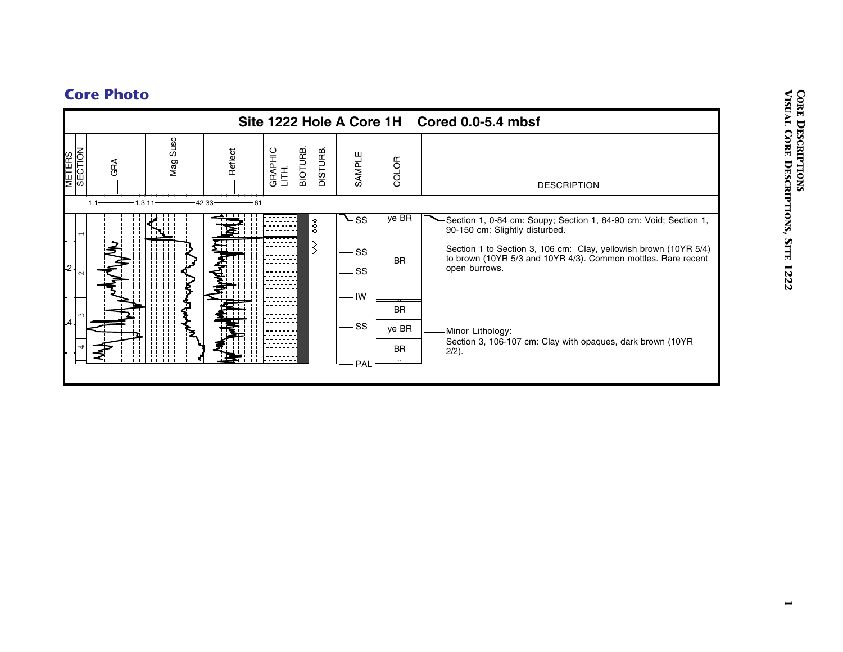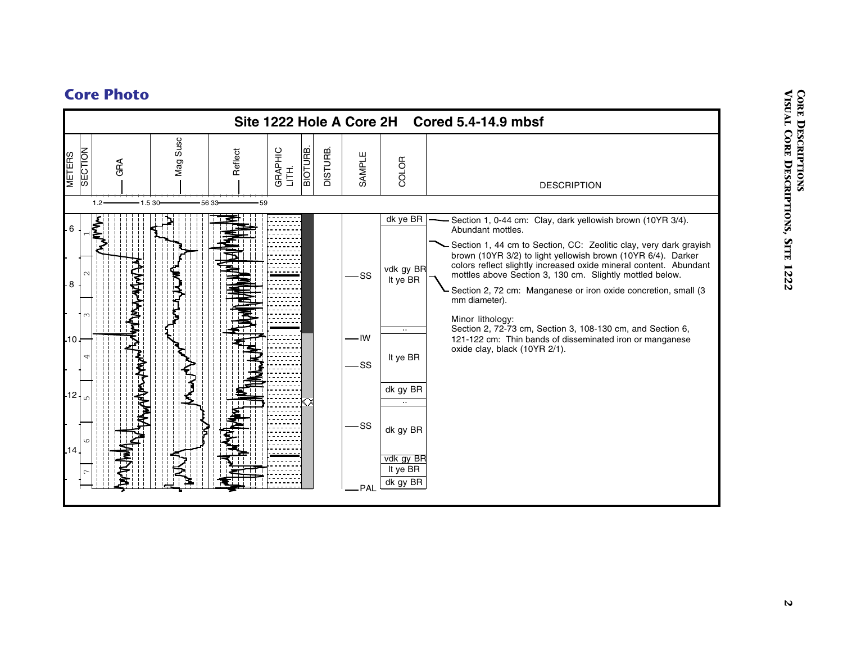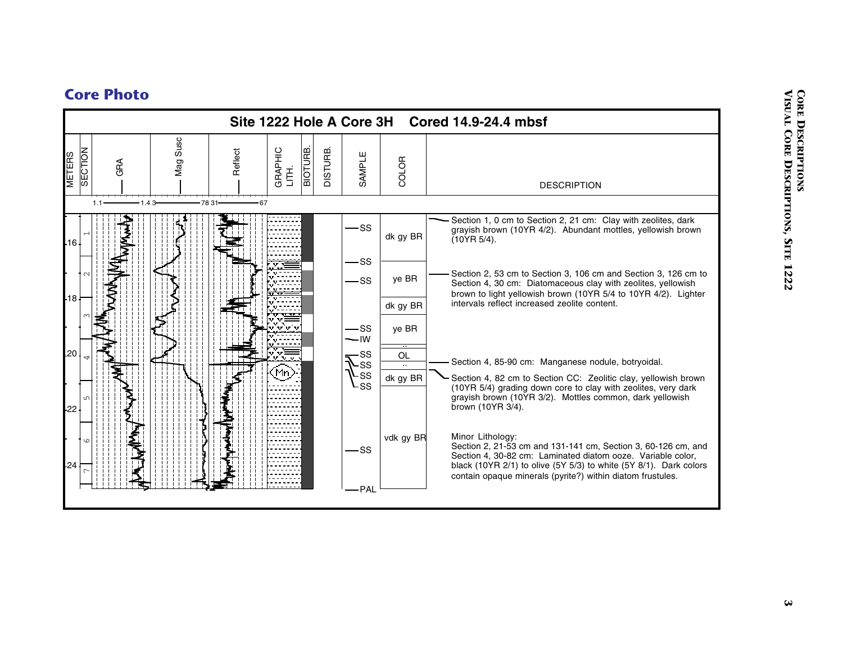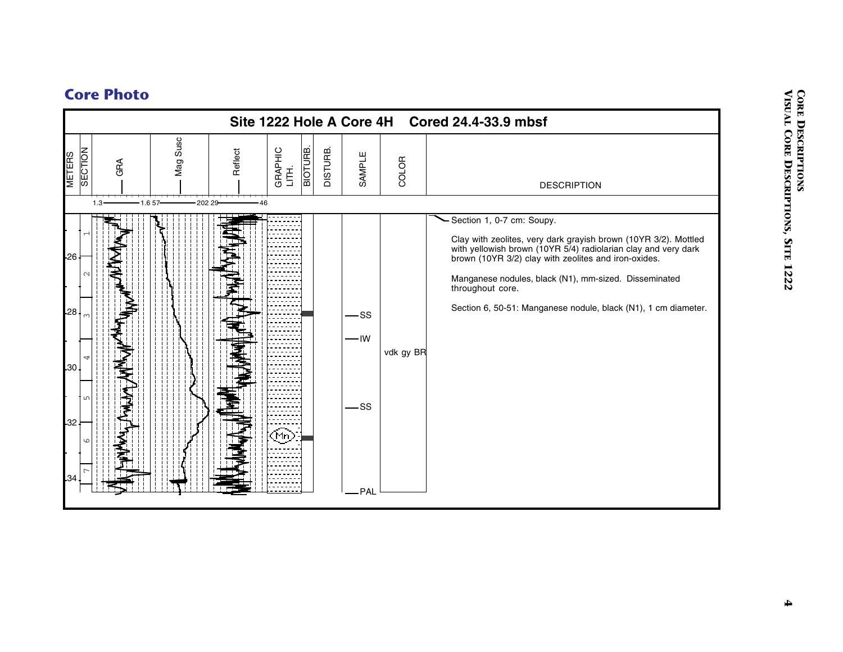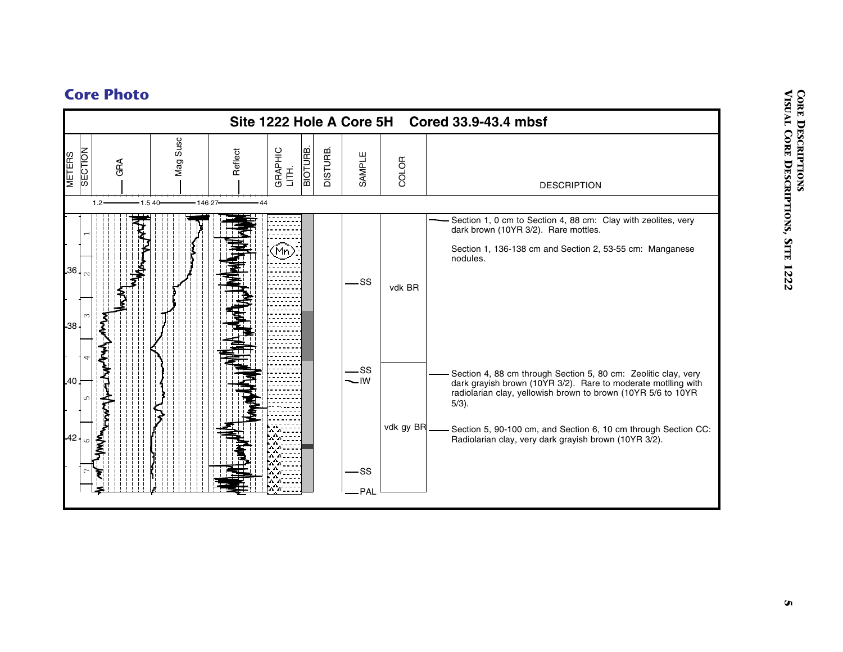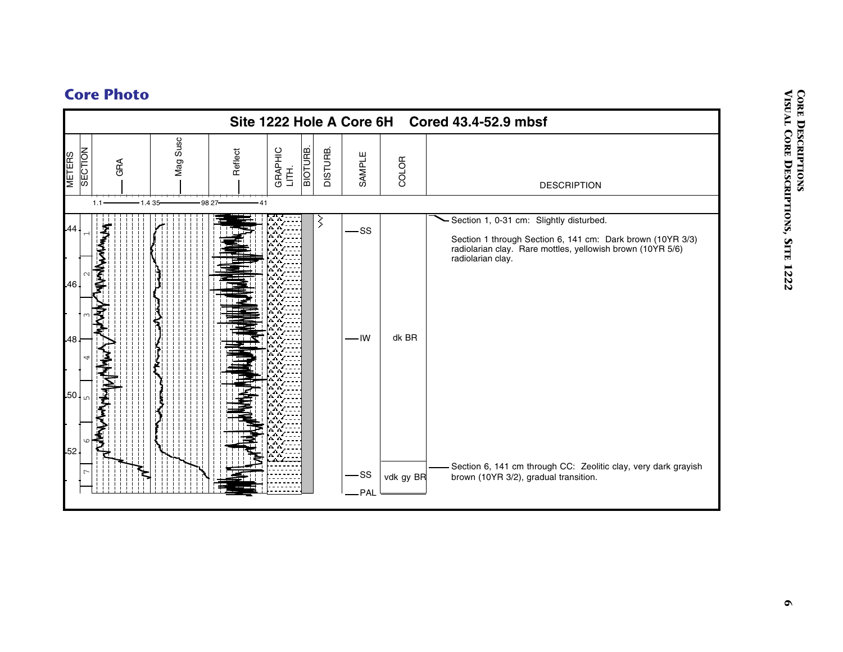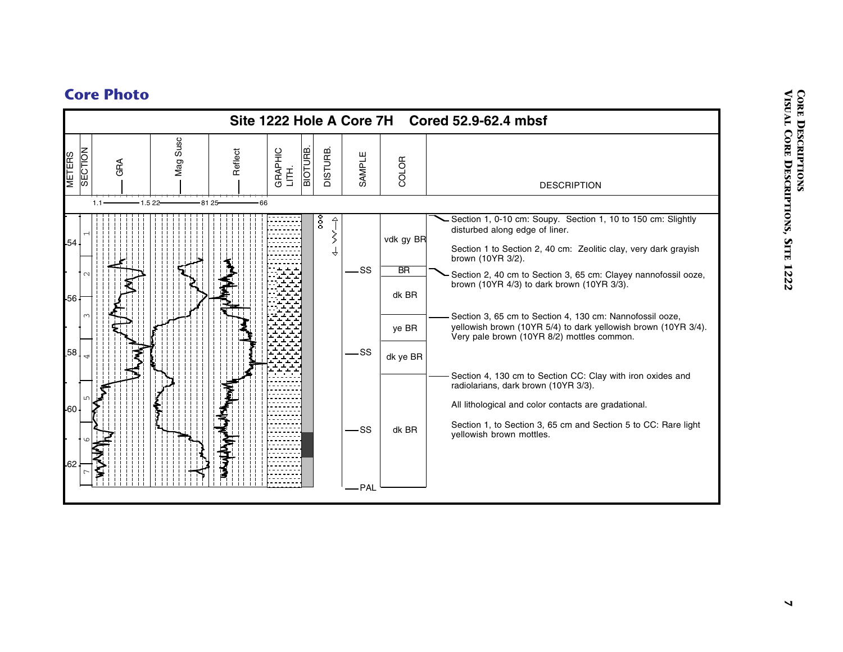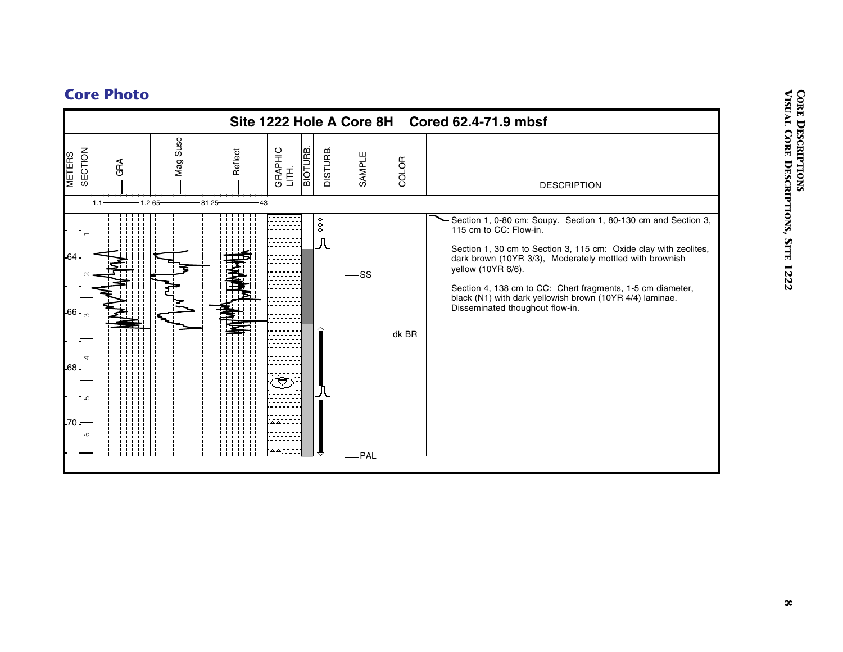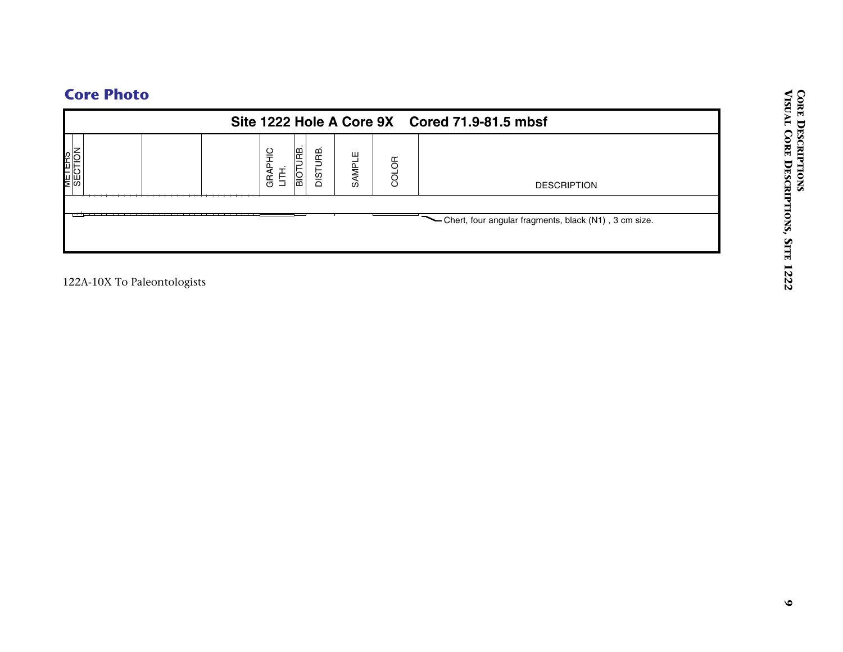|                             |                                                 |                 | Site 1222 Hole A Core 9X Cored 71.9-81.5 mbsf           |
|-----------------------------|-------------------------------------------------|-----------------|---------------------------------------------------------|
| METERS<br>SECTION           | <b>BIOTURE.</b><br>DISTURB.<br>GRAPHIC<br>LITH. | SAMPLE<br>COLOR | <b>DESCRIPTION</b>                                      |
|                             |                                                 |                 | - Chert, four angular fragments, black (N1), 3 cm size. |
| 122A-10X To Paleontologists |                                                 |                 |                                                         |
|                             |                                                 |                 |                                                         |
|                             |                                                 |                 |                                                         |
|                             |                                                 |                 |                                                         |
|                             |                                                 |                 |                                                         |
|                             |                                                 |                 |                                                         |
|                             |                                                 |                 |                                                         |
|                             |                                                 |                 |                                                         |
|                             |                                                 |                 |                                                         |
|                             |                                                 |                 |                                                         |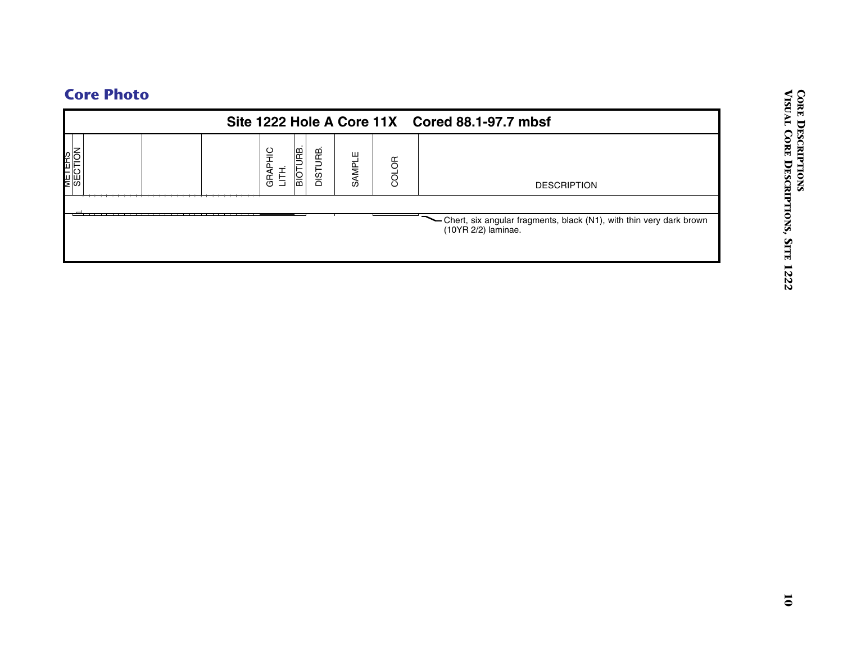|                   | Site 1222 Hole A Core 11X Cored 88.1-97.7 mbsf            |       |                                                                                           |  |  |  |  |  |  |  |  |
|-------------------|-----------------------------------------------------------|-------|-------------------------------------------------------------------------------------------|--|--|--|--|--|--|--|--|
| METERS<br>SECTION | <b>BIOTURB.</b><br>DISTURB.<br>GRAPHIC<br>LITH.<br>SAMPLE | COLOR | <b>DESCRIPTION</b>                                                                        |  |  |  |  |  |  |  |  |
|                   |                                                           |       | - Chert, six angular fragments, black (N1), with thin very dark brown (10YR 2/2) laminae. |  |  |  |  |  |  |  |  |
|                   |                                                           |       |                                                                                           |  |  |  |  |  |  |  |  |
|                   |                                                           |       |                                                                                           |  |  |  |  |  |  |  |  |
|                   |                                                           |       |                                                                                           |  |  |  |  |  |  |  |  |
|                   |                                                           |       |                                                                                           |  |  |  |  |  |  |  |  |
|                   |                                                           |       |                                                                                           |  |  |  |  |  |  |  |  |
|                   |                                                           |       |                                                                                           |  |  |  |  |  |  |  |  |
|                   |                                                           |       |                                                                                           |  |  |  |  |  |  |  |  |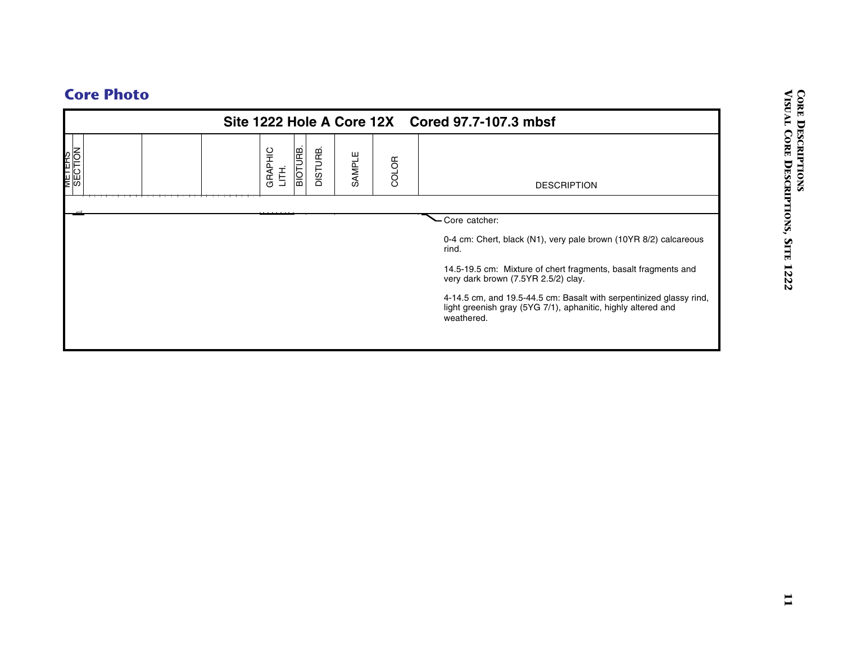|  | <b>Core Photo</b> |  |  |
|--|-------------------|--|--|
|--|-------------------|--|--|

|                          |                              | Site 1222 Hole A Core 12X Cored 97.7-107.3 mbsf |        |       |                                                                                                                                                   |  |  |  |  |
|--------------------------|------------------------------|-------------------------------------------------|--------|-------|---------------------------------------------------------------------------------------------------------------------------------------------------|--|--|--|--|
| <b>METERS</b><br>SECTION | BIOTURB.<br>GRAPHIC<br>LITH. | DISTURB.                                        | SAMPLE | COLOR | <b>DESCRIPTION</b>                                                                                                                                |  |  |  |  |
|                          |                              |                                                 |        |       | - Core catcher:                                                                                                                                   |  |  |  |  |
|                          |                              |                                                 |        |       | 0-4 cm: Chert, black (N1), very pale brown (10YR 8/2) calcareous<br>rind.                                                                         |  |  |  |  |
|                          |                              |                                                 |        |       | 14.5-19.5 cm: Mixture of chert fragments, basalt fragments and<br>very dark brown (7.5YR 2.5/2) clay.                                             |  |  |  |  |
|                          |                              |                                                 |        |       | 4-14.5 cm, and 19.5-44.5 cm: Basalt with serpentinized glassy rind,<br>light greenish gray (5YG 7/1), aphanitic, highly altered and<br>weathered. |  |  |  |  |
|                          |                              |                                                 |        |       |                                                                                                                                                   |  |  |  |  |
|                          |                              |                                                 |        |       |                                                                                                                                                   |  |  |  |  |
|                          |                              |                                                 |        |       |                                                                                                                                                   |  |  |  |  |
|                          |                              |                                                 |        |       |                                                                                                                                                   |  |  |  |  |
|                          |                              |                                                 |        |       |                                                                                                                                                   |  |  |  |  |
|                          |                              |                                                 |        |       |                                                                                                                                                   |  |  |  |  |
|                          |                              |                                                 |        |       |                                                                                                                                                   |  |  |  |  |
|                          |                              |                                                 |        |       |                                                                                                                                                   |  |  |  |  |
|                          |                              |                                                 |        |       |                                                                                                                                                   |  |  |  |  |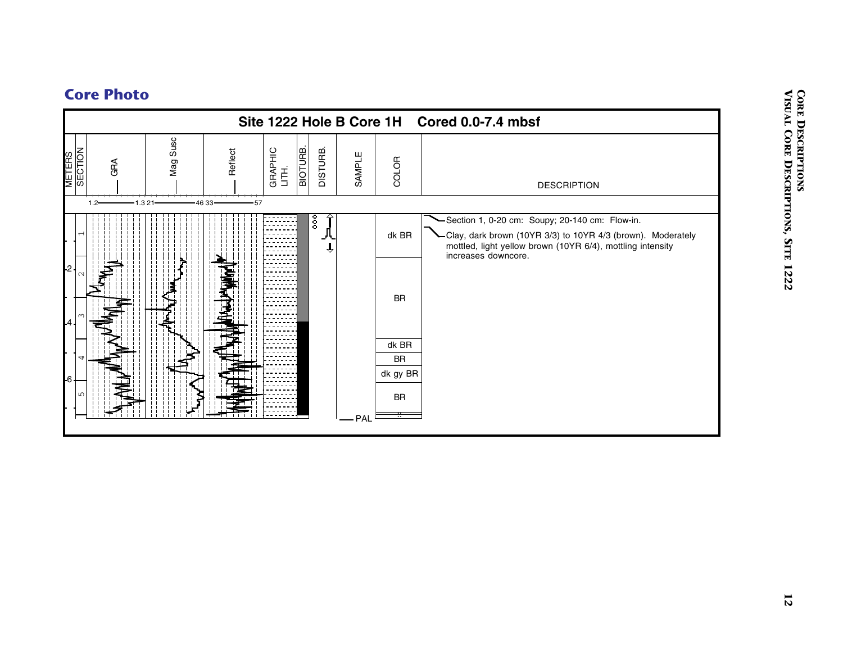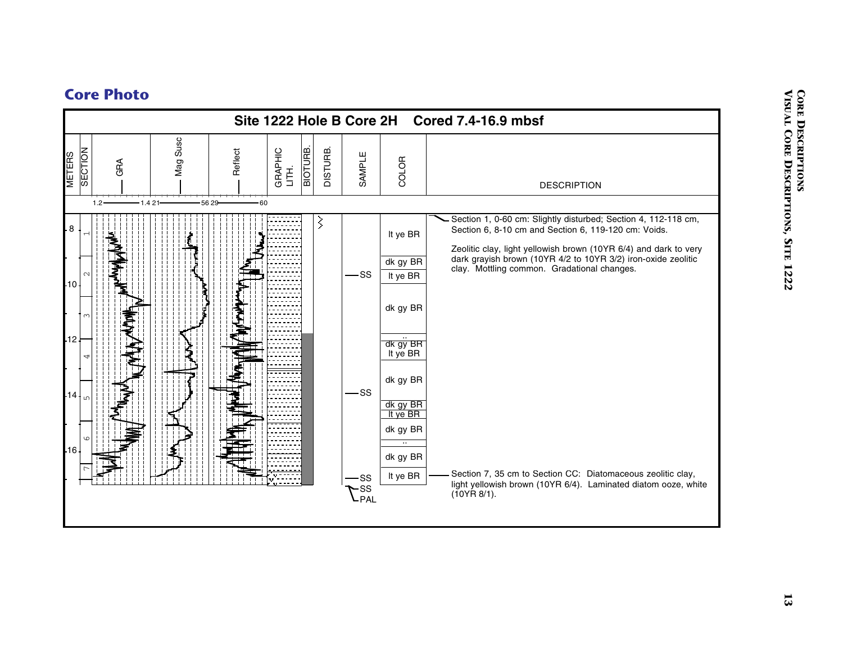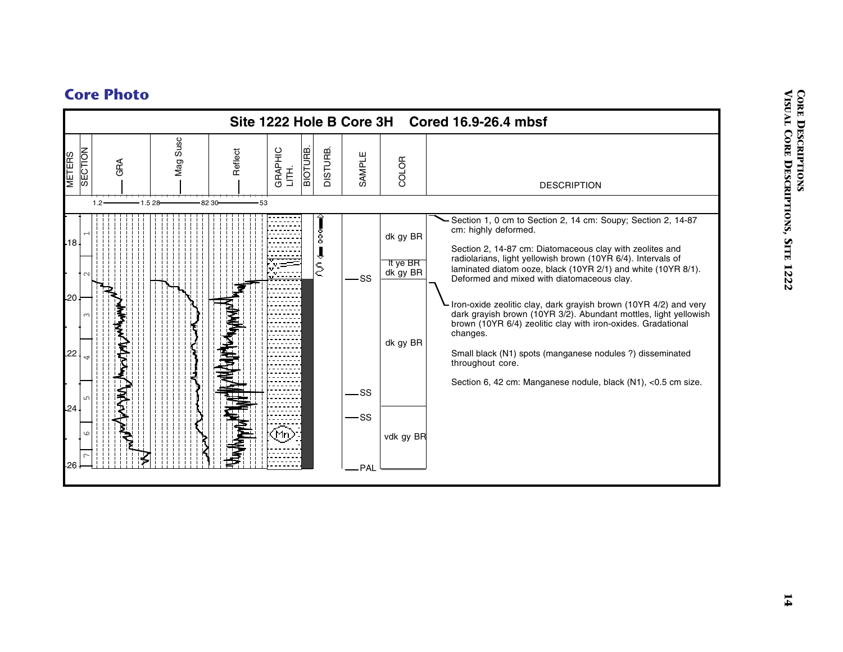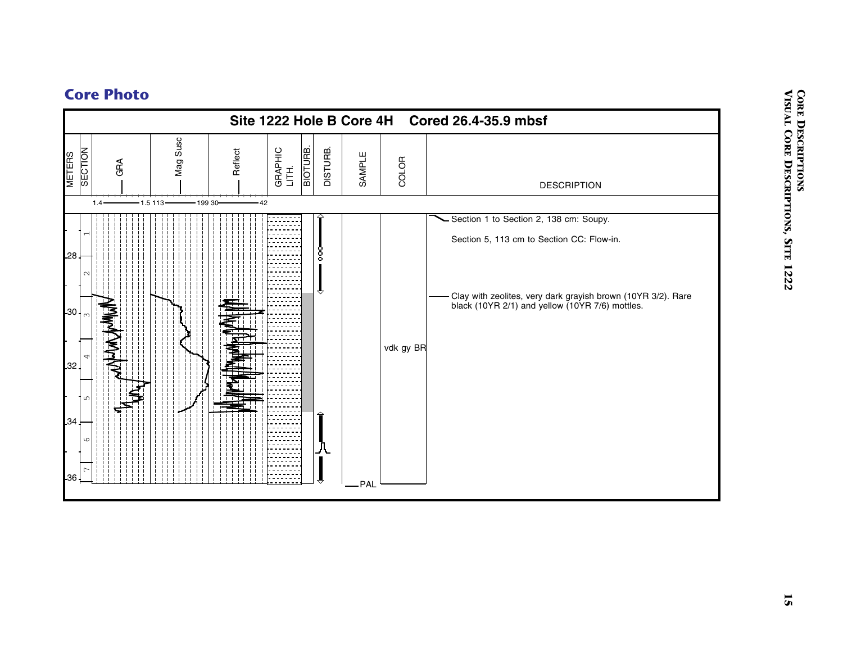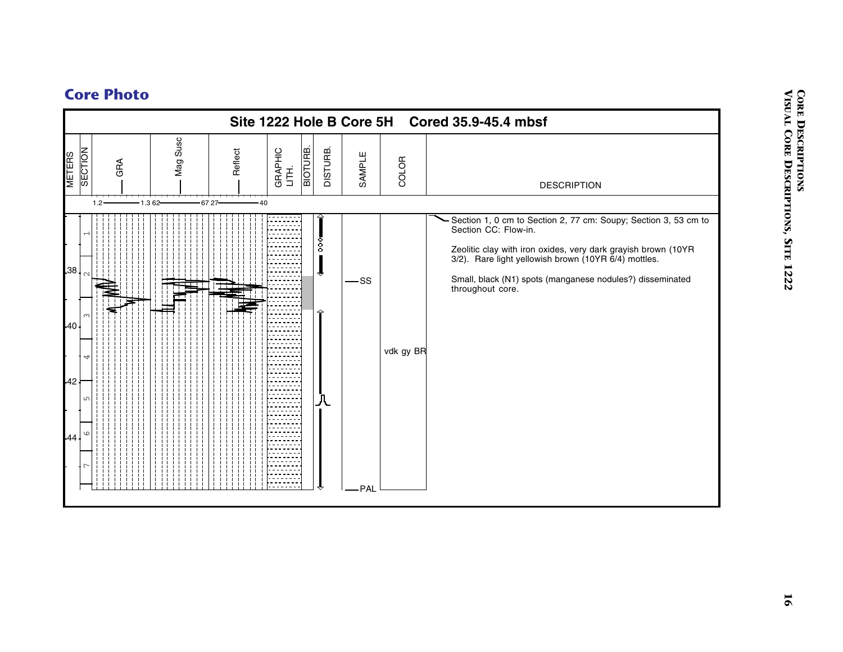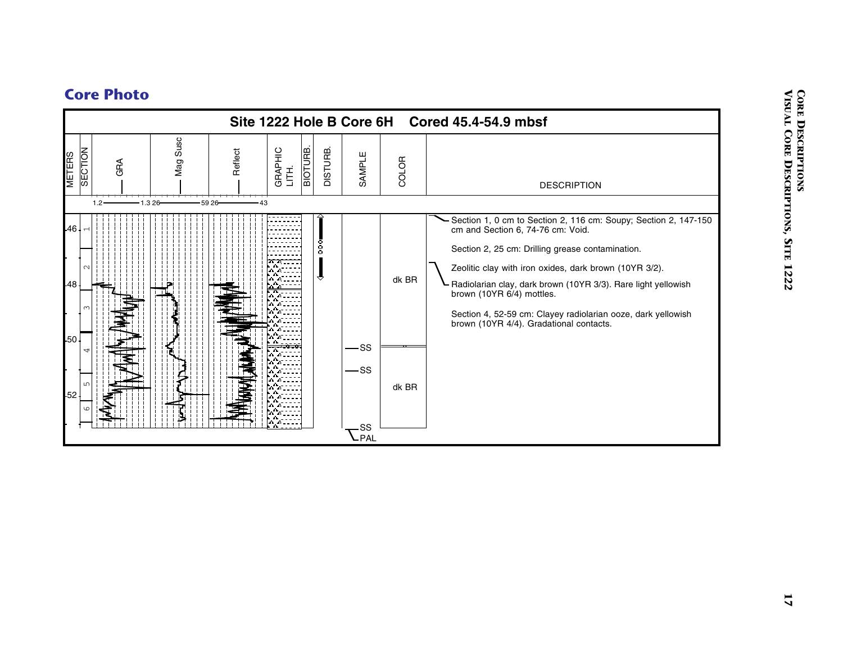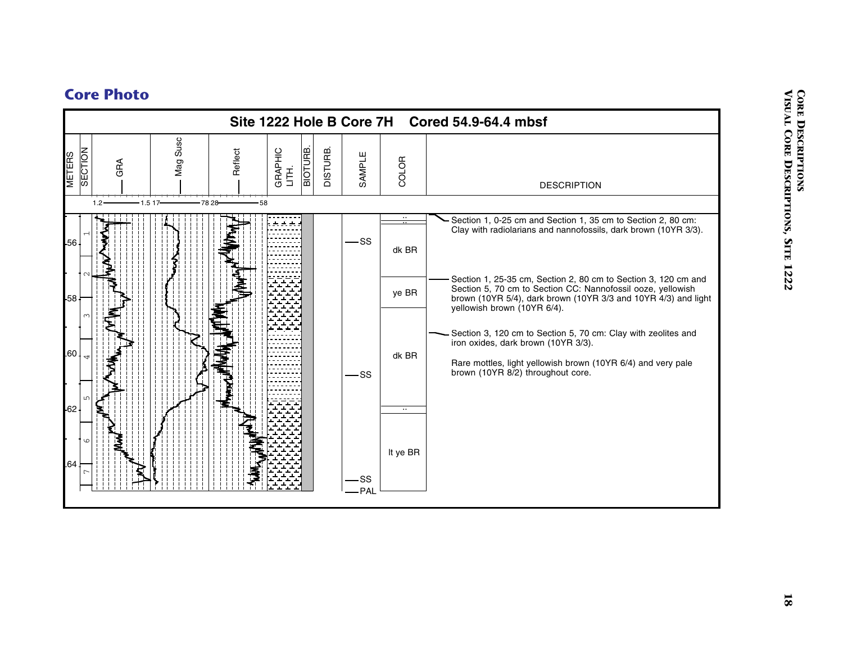